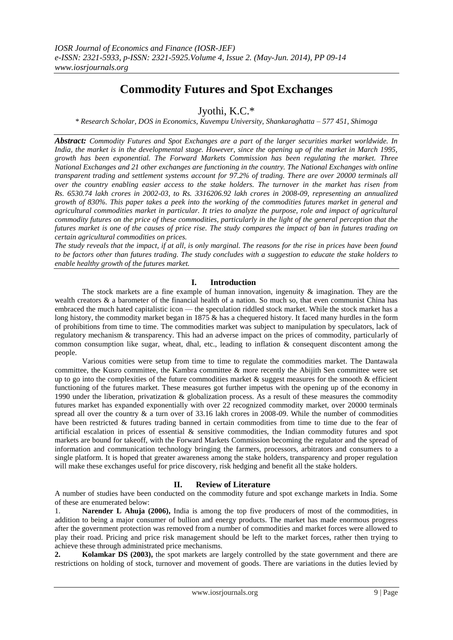# **Commodity Futures and Spot Exchanges**

Jyothi, K.C.\*

*\* Research Scholar, DOS in Economics, Kuvempu University, Shankaraghatta – 577 451, Shimoga*

*Abstract: Commodity Futures and Spot Exchanges are a part of the larger securities market worldwide. In India, the market is in the developmental stage. However, since the opening up of the market in March 1995, growth has been exponential. The Forward Markets Commission has been regulating the market. Three National Exchanges and 21 other exchanges are functioning in the country. The National Exchanges with online transparent trading and settlement systems account for 97.2% of trading. There are over 20000 terminals all over the country enabling easier access to the stake holders. The turnover in the market has risen from Rs. 6530.74 lakh crores in 2002-03, to Rs. 3316206.92 lakh crores in 2008-09, representing an annualized growth of 830%. This paper takes a peek into the working of the commodities futures market in general and agricultural commodities market in particular. It tries to analyze the purpose, role and impact of agricultural commodity futures on the price of these commodities, particularly in the light of the general perception that the futures market is one of the causes of price rise. The study compares the impact of ban in futures trading on certain agricultural commodities on prices.* 

*The study reveals that the impact, if at all, is only marginal. The reasons for the rise in prices have been found to be factors other than futures trading. The study concludes with a suggestion to educate the stake holders to enable healthy growth of the futures market.*

## **I. Introduction**

The stock markets are a fine example of human innovation, ingenuity & imagination. They are the wealth creators & a barometer of the financial health of a nation. So much so, that even communist China has embraced the much hated capitalistic icon — the speculation riddled stock market. While the stock market has a long history, the commodity market began in 1875 & has a chequered history. It faced many hurdles in the form of prohibitions from time to time. The commodities market was subject to manipulation by speculators, lack of regulatory mechanism & transparency. This had an adverse impact on the prices of commodity, particularly of common consumption like sugar, wheat, dhal, etc., leading to inflation  $\&$  consequent discontent among the people.

Various comities were setup from time to time to regulate the commodities market. The Dantawala committee, the Kusro committee, the Kambra committee & more recently the Abijith Sen committee were set up to go into the complexities of the future commodities market  $\&$  suggest measures for the smooth  $\&$  efficient functioning of the futures market. These measures got further impetus with the opening up of the economy in 1990 under the liberation, privatization & globalization process. As a result of these measures the commodity futures market has expanded exponentially with over 22 recognized commodity market, over 20000 terminals spread all over the country & a turn over of 33.16 lakh crores in 2008-09. While the number of commodities have been restricted & futures trading banned in certain commodities from time to time due to the fear of artificial escalation in prices of essential & sensitive commodities, the Indian commodity futures and spot markets are bound for takeoff, with the Forward Markets Commission becoming the regulator and the spread of information and communication technology bringing the farmers, processors, arbitrators and consumers to a single platform. It is hoped that greater awareness among the stake holders, transparency and proper regulation will make these exchanges useful for price discovery, risk hedging and benefit all the stake holders.

# **II. Review of Literature**

A number of studies have been conducted on the commodity future and spot exchange markets in India. Some of these are enumerated below:

1. **Narender L Ahuja (2006),** India is among the top five producers of most of the commodities, in addition to being a major consumer of bullion and energy products. The market has made enormous progress after the government protection was removed from a number of commodities and market forces were allowed to play their road. Pricing and price risk management should be left to the market forces, rather then trying to achieve these through administrated price mechanisms.

**2. Kolamkar DS (2003),** the spot markets are largely controlled by the state government and there are restrictions on holding of stock, turnover and movement of goods. There are variations in the duties levied by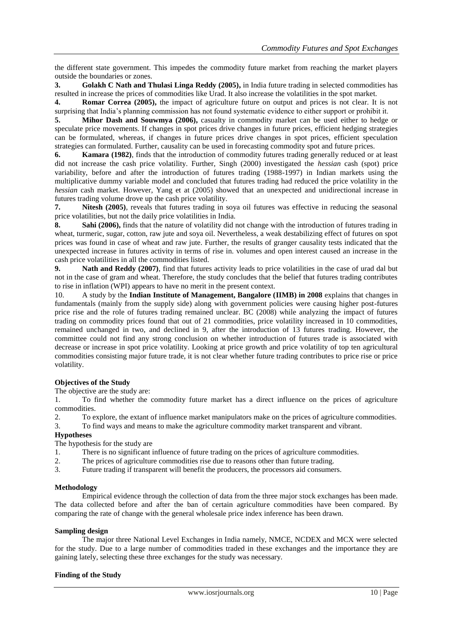the different state government. This impedes the commodity future market from reaching the market players outside the boundaries or zones.

**3. Golakh C Nath and Thulasi Linga Reddy (2005),** in India future trading in selected commodities has resulted in increase the prices of commodities like Urad. It also increase the volatilities in the spot market.

**4. Romar Correa (2005),** the impact of agriculture future on output and prices is not clear. It is not surprising that India's planning commission has not found systematic evidence to either support or prohibit it.

**5. Mihor Dash and Souwmya (2006),** casualty in commodity market can be used either to hedge or speculate price movements. If changes in spot prices drive changes in future prices, efficient hedging strategies can be formulated, whereas, if changes in future prices drive changes in spot prices, efficient speculation strategies can formulated. Further, causality can be used in forecasting commodity spot and future prices.

**6. Kamara (1982)**, finds that the introduction of commodity futures trading generally reduced or at least did not increase the cash price volatility. Further, Singh (2000) investigated the *hessian* cash (spot) price variability, before and after the introduction of futures trading (1988-1997) in Indian markets using the multiplicative dummy variable model and concluded that futures trading had reduced the price volatility in the *hessian* cash market. However, Yang et at (2005) showed that an unexpected and unidirectional increase in futures trading volume drove up the cash price volatility.

**7. Nitesh (2005)**, reveals that futures trading in soya oil futures was effective in reducing the seasonal price volatilities, but not the daily price volatilities in India.

**8. Sahi (2006),** finds that the nature of volatility did not change with the introduction of futures trading in wheat, turmeric, sugar, cotton, raw jute and soya oil. Nevertheless, a weak destabilizing effect of futures on spot prices was found in case of wheat and raw jute. Further, the results of granger causality tests indicated that the unexpected increase in futures activity in terms of rise in. volumes and open interest caused an increase in the cash price volatilities in all the commodities listed.

**9. Nath and Reddy (2007)**, find that futures activity leads to price volatilities in the case of urad dal but not in the case of gram and wheat. Therefore, the study concludes that the belief that futures trading contributes to rise in inflation (WPI) appears to have no merit in the present context.

10. A study by the **Indian Institute of Management, Bangalore (IIMB) in 2008** explains that changes in fundamentals (mainly from the supply side) along with government policies were causing higher post-futures price rise and the role of futures trading remained unclear. BC (2008) while analyzing the impact of futures trading on commodity prices found that out of 21 commodities, price volatility increased in 10 commodities, remained unchanged in two, and declined in 9, after the introduction of 13 futures trading. However, the committee could not find any strong conclusion on whether introduction of futures trade is associated with decrease or increase in spot price volatility. Looking at price growth and price volatility of top ten agricultural commodities consisting major future trade, it is not clear whether future trading contributes to price rise or price volatility.

## **Objectives of the Study**

The objective are the study are:

1. To find whether the commodity future market has a direct influence on the prices of agriculture commodities.

2. To explore, the extant of influence market manipulators make on the prices of agriculture commodities. 3. To find ways and means to make the agriculture commodity market transparent and vibrant.

## **Hypotheses**

The hypothesis for the study are

- 1. There is no significant influence of future trading on the prices of agriculture commodities.
- 2. The prices of agriculture commodities rise due to reasons other than future trading.
- 3. Future trading if transparent will benefit the producers, the processors aid consumers.

## **Methodology**

Empirical evidence through the collection of data from the three major stock exchanges has been made. The data collected before and after the ban of certain agriculture commodities have been compared. By comparing the rate of change with the general wholesale price index inference has been drawn.

## **Sampling design**

The major three National Level Exchanges in India namely, NMCE, NCDEX and MCX were selected for the study. Due to a large number of commodities traded in these exchanges and the importance they are gaining lately, selecting these three exchanges for the study was necessary.

## **Finding of the Study**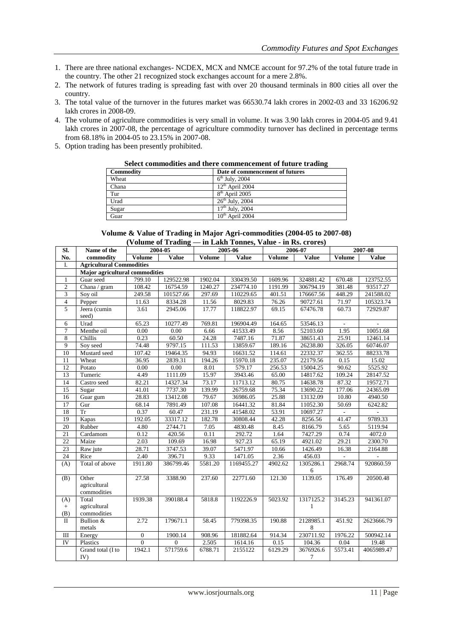- 1. There are three national exchanges- NCDEX, MCX and NMCE account for 97.2% of the total future trade in the country. The other 21 recognized stock exchanges account for a mere 2.8%.
- 2. The network of futures trading is spreading fast with over 20 thousand terminals in 800 cities all over the country.
- 3. The total value of the turnover in the futures market was 66530.74 lakh crores in 2002-03 and 33 16206.92 lakh crores in 2008-09.
- 4. The volume of agriculture commodities is very small in volume. It was 3.90 lakh crores in 2004-05 and 9.41 lakh crores in 2007-08, the percentage of agriculture commodity turnover has declined in percentage terms from 68.18% in 2004-05 to 23.15% in 2007-08.
- 5. Option trading has been presently prohibited.

#### **Select commodities and there commencement of future trading**

| Commodity | Date of commencement of futures |
|-----------|---------------------------------|
| Wheat     | $6th$ July, 2004                |
| Chana     | $12th$ April 2004               |
| Tur       | $8th$ April 2005                |
| Urad      | $26th$ July, 2004               |
| Sugar     | $17th$ July, 2004               |
| Guar      | $10th$ April 2004               |

| Volume & Value of Trading in Major Agri-commodities (2004-05 to 2007-08) |
|--------------------------------------------------------------------------|
| (Volume of Trading — in Lakh Tonnes, Value - in Rs. crores)              |

|                         |                                      |                     | $($ v ording or $\bf{1}$ rading | $-$ in Earn Tomics, value $-$ in Rs. Crores) |            |         |                |                             |              |  |
|-------------------------|--------------------------------------|---------------------|---------------------------------|----------------------------------------------|------------|---------|----------------|-----------------------------|--------------|--|
| SI.                     | Name of the                          | 2004-05             |                                 |                                              | 2005-06    |         | 2006-07        | 2007-08                     |              |  |
| No.                     | commodity                            | Volume              | Value                           | Volume                                       | Value      | Volume  | <b>Value</b>   | Volume                      | <b>Value</b> |  |
| I.                      | <b>Agricultural Commodities</b>      |                     |                                 |                                              |            |         |                |                             |              |  |
|                         | Major agricultural commodities       |                     |                                 |                                              |            |         |                |                             |              |  |
| $\mathbf{1}$            | Guar seed                            | $\overline{799.10}$ | 129522.98                       | 1902.04                                      | 330439.50  | 1609.96 | 324881.42      | 670.48                      | 123752.55    |  |
| $\overline{c}$          | Chana / gram                         | 108.42              | 16754.59                        | 1240.27                                      | 234774.10  | 1191.99 | 306794.19      | 381.48                      | 93517.27     |  |
| $\overline{3}$          | Soy oil                              | 249.58              | 101527.66                       | 297.69                                       | 110229.65  | 401.51  | 176667.56      | 448.29                      | 241588.02    |  |
| $\overline{\mathbf{4}}$ | Pepper                               | 11.63               | 8334.28                         | 11.56                                        | 8029.83    | 76.26   | 90727.61       | 71.97                       | 105323.74    |  |
| 5                       | Jeera (cumin<br>seed)                | 3.61                | 2945.06                         | 17.77                                        | 118822.97  | 69.15   | 67476.78       | 60.73                       | 72929.87     |  |
| 6                       | Urad                                 | 65.23               | 10277.49                        | 769.81                                       | 196904.49  | 164.65  | 53546.13       | $\overline{\phantom{a}}$    |              |  |
| $\overline{7}$          | Menthe oil                           | 0.00                | 0.00                            | 6.66                                         | 41533.49   | 8.56    | 52103.60       | 1.95                        | 10051.68     |  |
| $\overline{8}$          | Chillis                              | 0.23                | 60.50                           | 24.28                                        | 7487.16    | 71.87   | 38651.43       | 25.91                       | 12461.14     |  |
| $\overline{9}$          | Soy seed                             | 74.48               | 9797.15                         | 111.53                                       | 13859.67   | 189.16  | 26238.80       | 326.05                      | 60746.07     |  |
| $\overline{10}$         | Mustard seed                         | 107.42              | 19464.35                        | 94.93                                        | 16631.52   | 114.61  | 22332.37       | 362.55                      | 88233.78     |  |
| 11                      | Wheat                                | 36.95               | 2839.31                         | 194.26                                       | 15970.18   | 235.07  | 22179.56       | 0.15                        | 15.02        |  |
| 12                      | Potato                               | 0.00                | 0.00                            | 8.01                                         | 579.17     | 256.53  | 15004.25       | 90.62                       | 5525.92      |  |
| 13                      | Tumeric                              | 4.49                | 1111.09                         | 15.97                                        | 3943.46    | 65.00   | 14817.62       | 109.24                      | 28147.52     |  |
| 14                      | Castro seed                          | 82.21               | 14327.34                        | 73.17                                        | 11713.12   | 80.75   | 14638.78       | 87.32                       | 19572.71     |  |
| 15                      | Sugar                                | 41.01               | 7737.30                         | 139.99                                       | 26759.68   | 75.34   | 13690.22       | 177.06                      | 24365.09     |  |
| 16                      | Guar gum                             | 28.83               | 13412.08                        | 79.67                                        | 36986.05   | 25.88   | 13132.09       | 10.80                       | 4940.50      |  |
| 17                      | Gur                                  | 68.14               | 7891.49                         | 107.08                                       | 16441.32   | 81.84   | 11052.30       | 50.69                       | 6242.82      |  |
| 18                      | $\overline{\text{Tr}}$               | 0.37                | 60.47                           | 231.19                                       | 41548.02   | 53.91   | 10697.27       | $\mathcal{L}_{\mathcal{A}}$ |              |  |
| 19                      | Kapas                                | 192.05              | 33317.12                        | 182.78                                       | 30808.44   | 42.28   | 8256.56        | 41.47                       | 9789.33      |  |
| $\overline{20}$         | Rubber                               | 4.80                | 2744.71                         | 7.05                                         | 4830.48    | 8.45    | 8166.79        | 5.65                        | 5119.94      |  |
| 21                      | Cardamom                             | 0.12                | 420.56                          | 0.11                                         | 292.72     | 1.64    | 7427.29        | 0.74                        | 4072.0       |  |
| $\overline{22}$         | Maize                                | 2.03                | 109.69                          | 16.98                                        | 927.23     | 65.19   | 4921.02        | 29.21                       | 2300.70      |  |
| $\overline{23}$         | Raw jute                             | 28.71               | 3747.53                         | 39.07                                        | 5471.97    | 10.66   | 1426.49        | 16.38                       | 2164.88      |  |
| 24                      | Rice                                 | 2.40                | 396.71                          | 9.33                                         | 1471.05    | 2.36    | 456.03         | $\overline{\phantom{a}}$    |              |  |
| (A)                     | Total of above                       | 1911.80             | 386799.46                       | 5581.20                                      | 1169455.27 | 4902.62 | 1305286.1<br>6 | 2968.74                     | 920860.59    |  |
| (B)                     | Other<br>agricultural<br>commodities | 27.58               | 3388.90                         | 237.60                                       | 22771.60   | 121.30  | 1139.05        | 176.49                      | 20500.48     |  |
| (A)                     | Total                                | 1939.38             | 390188.4                        | 5818.8                                       | 1192226.9  | 5023.92 | 1317125.2      | 3145.23                     | 941361.07    |  |
| $+$                     | agricultural                         |                     |                                 |                                              |            |         | 1              |                             |              |  |
| (B)                     | commodities                          |                     |                                 |                                              |            |         |                |                             |              |  |
| $\rm II$                | Bullion &                            | 2.72                | 179671.1                        | 58.45                                        | 779398.35  | 190.88  | 2128985.1      | 451.92                      | 2623666.79   |  |
|                         | metals                               |                     |                                 |                                              |            |         | $\,8\,$        |                             |              |  |
| $\rm III$               | Energy                               | $\boldsymbol{0}$    | 1900.14                         | 908.96                                       | 181882.64  | 914.34  | 230711.92      | 1976.22                     | 500942.14    |  |
| <b>IV</b>               | Plastics                             | $\overline{0}$      | $\mathbf{0}$                    | 2.505                                        | 1614.16    | 0.15    | 104.36         | 0.04                        | 19.48        |  |
|                         | Grand total (I to                    | 1942.1              | 571759.6                        | 6788.71                                      | 2155122    | 6129.29 | 3676926.6      | 5573.41                     | 4065989.47   |  |
|                         | IV)                                  |                     |                                 |                                              |            |         | $\tau$         |                             |              |  |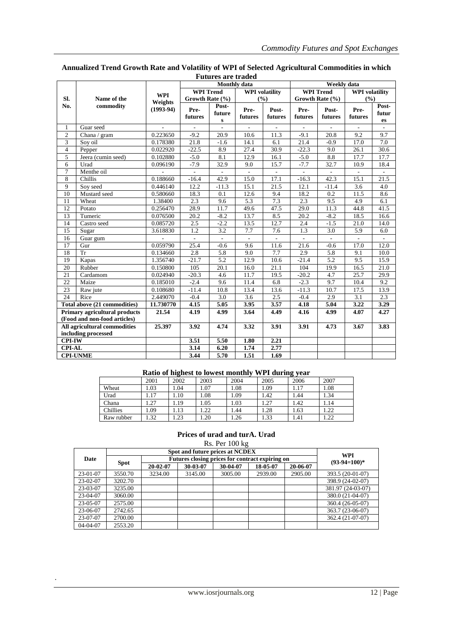|                                        |                                      |                        |                          | Monthly data                    |                          |                          | Weekly data              |                          |                          |                          |
|----------------------------------------|--------------------------------------|------------------------|--------------------------|---------------------------------|--------------------------|--------------------------|--------------------------|--------------------------|--------------------------|--------------------------|
|                                        |                                      | <b>WPI</b>             | <b>WPI Trend</b>         |                                 | <b>WPI</b> volatility    |                          | <b>WPI Trend</b>         |                          | <b>WPI</b> volatility    |                          |
| Sl.                                    | Name of the                          | Weights<br>$(1993-94)$ | Growth Rate (%)          |                                 | (%)                      |                          | Growth Rate (%)          |                          | (%)                      |                          |
| No.                                    | commodity                            |                        | Pre-<br>futures          | Post-<br>future<br>$\mathbf{s}$ | Pre-<br>futures          | Post-<br>futures         | Pre-<br>futures          | Post-<br>futures         | Pre-<br>futures          | Post-<br>futur<br>es     |
| 1                                      | Guar seed                            |                        |                          |                                 |                          |                          |                          |                          |                          |                          |
| $\overline{2}$                         | Chana / gram                         | 0.223650               | $-9.2$                   | $\overline{20.9}$               | 10.6                     | 11.3                     | $-9.1$                   | $\overline{20.8}$        | 9.2                      | 9.7                      |
| $\overline{3}$                         | Soy oil                              | 0.178380               | 21.8                     | $-1.6$                          | 14.1                     | 6.1                      | 21.4                     | $-0.9$                   | 17.0                     | 7.0                      |
| $\overline{4}$                         | Pepper                               | 0.022920               | $-22.5$                  | 8.9                             | 27.4                     | 30.9                     | $-22.3$                  | 9.0                      | 26.1                     | 30.6                     |
| 5                                      | Jeera (cumin seed)                   | 0.102880               | $-5.0$                   | 8.1                             | 12.9                     | 16.1                     | $-5.0$                   | 8.8                      | 17.7                     | 17.7                     |
| 6                                      | Urad                                 | 0.096190               | $-7.9$                   | 32.9                            | 9.0                      | 15.7                     | $-7.7$                   | 32.7                     | 10.9                     | 18.4                     |
| $\overline{7}$                         | Menthe oil                           | $\overline{a}$         | $\overline{a}$           | $\overline{a}$                  | $\mathcal{L}$            | $\overline{a}$           | $\overline{a}$           | $\overline{a}$           | $\sim$                   | $\overline{a}$           |
| 8                                      | Chillis                              | 0.188660               | $-16.4$                  | 42.9                            | 15.0                     | 17.1                     | $-16.3$                  | 42.3                     | 15.1                     | 21.5                     |
| 9                                      | Soy seed                             | 0.446140               | 12.2                     | $-11.3$                         | 15.1                     | 21.5                     | 12.1                     | $-11.4$                  | 3.6                      | 4.0                      |
| 10                                     | Mustard seed                         | 0.580660               | 18.3                     | 0.1                             | 12.6                     | 9.4                      | 18.2                     | 0.2                      | 11.5                     | 8.6                      |
| 11                                     | Wheat                                | 1.38400                | 2.3                      | 9.6                             | 5.3                      | 7.3                      | 2.3                      | 9.5                      | 4.9                      | 6.1                      |
| 12                                     | Potato                               | 0.256470               | 28.9                     | 11.7                            | 49.6                     | 47.5                     | 29.0                     | 11.3                     | 44.8                     | 41.5                     |
| 13                                     | Tumeric                              | 0.076500               | 20.2                     | $-8.2$                          | 13.7                     | 8.5                      | 20.2                     | $-8.2$                   | 18.5                     | 16.6                     |
| 14                                     | Castro seed                          | 0.085720               | 2.5                      | $-2.2$                          | 13.5                     | 12.7                     | 2.4                      | $-1.5$                   | 21.0                     | 14.0                     |
| 15                                     | Sugar                                | 3.618830               | 1.2                      | 3.2                             | 7.7                      | 7.6                      | 1.3                      | 3.0                      | 5.9                      | 6.0                      |
| 16                                     | Guar gum                             | L,                     | $\overline{\phantom{a}}$ | $\overline{\phantom{a}}$        | $\overline{\phantom{a}}$ | $\overline{\phantom{a}}$ | $\overline{\phantom{a}}$ | $\overline{\phantom{a}}$ | $\overline{\phantom{a}}$ | $\overline{\phantom{a}}$ |
| 17                                     | Gur                                  | 0.059790               | 25.4                     | $-0.6$                          | 9.6                      | 11.6                     | 21.6                     | $-0.6$                   | 17.0                     | 12.0                     |
| 18                                     | Tr                                   | 0.134660               | 2.8                      | 5.8                             | 9.0                      | 7.7                      | 2.9                      | 5.8                      | 9.1                      | 10.0                     |
| 19                                     | Kapas                                | 1.356740               | $-21.7$                  | 5.2                             | 12.9                     | 10.6                     | $-21.4$                  | 5.2                      | 9.5                      | 15.9                     |
| 20                                     | Rubber                               | 0.150800               | 105                      | 20.1                            | 16.0                     | 21.1                     | 104                      | 19.9                     | 16.5                     | 21.0                     |
| 21                                     | Cardamom                             | 0.024940               | $-20.3$                  | 4.6                             | 11.7                     | 19.5                     | $-20.2$                  | 4.7                      | 25.7                     | 29.9                     |
| 22                                     | Maize                                | 0.185010               | $-2.4$                   | 9.6                             | 11.4                     | 6.8                      | $-2.3$                   | 9.7                      | 10.4                     | 9.2                      |
| 23                                     | Raw jute                             | 0.108680               | $-11.4$                  | 10.8                            | 13.4                     | 13.6                     | $-11.3$                  | 10.7                     | 17.5                     | 13.9                     |
| 24                                     | Rice                                 | 2.449070               | $-0.4$                   | 3.0                             | 3.6                      | 2.5                      | $-0.4$                   | 2.9                      | 3.1                      | 2.3                      |
|                                        | <b>Total above (21 commodities)</b>  | 11.730770              | 4.15                     | 5.05                            | 3.95                     | 3.57                     | 4.18                     | 5.04                     | 3.22                     | 3.29                     |
|                                        | <b>Primary agricultural products</b> | 21.54                  | 4.19                     | 4.99                            | 3.64                     | 4.49                     | 4.16                     | 4.99                     | 4.07                     | 4.27                     |
| (Food and non-food articles)           |                                      |                        |                          |                                 |                          |                          |                          |                          |                          |                          |
| All agricultural commodities<br>25.397 |                                      |                        | 3.92                     | 4.74                            | 3.32                     | 3.91                     | 3.91                     | 4.73                     | 3.67                     | 3.83                     |
| including processed                    |                                      |                        |                          |                                 |                          |                          |                          |                          |                          |                          |
| <b>CPI-IW</b>                          |                                      |                        | 3.51                     | 5.50                            | 1.80                     | 2.21                     |                          |                          |                          |                          |
| <b>CPI-AL</b>                          |                                      |                        | 3.14                     | 6.20                            | 1.74                     | 2.77                     |                          |                          |                          |                          |
| <b>CPI-UNME</b>                        |                                      |                        | 3.44                     | 5.70                            | 1.51                     | 1.69                     |                          |                          |                          |                          |

## **Annualized Trend Growth Rate and Volatility of WPI of Selected Agricultural Commodities in which Futures are traded**

# **Ratio of highest to lowest monthly WPI during year**

|            |      | -    |      |      |      | $\sim$ |      |
|------------|------|------|------|------|------|--------|------|
|            | 2001 | 2002 | 2003 | 2004 | 2005 | 2006   | 2007 |
| Wheat      | 1.03 | .04  | 1.07 | 1.08 | 1.09 | 1.17   | 1.08 |
| Urad       | 1.17 | 1.10 | 1.08 | 1.09 | 1.42 | 1.44   | 1.34 |
| Chana      | 1.27 | 1.19 | 1.05 | 1.03 | 1.27 | 1.42   | 1.14 |
| Chillies   | 1.09 | 1.13 | .22  | 1.44 | 1.28 | 1.63   | 1.22 |
| Raw rubber | 1.32 | 1.23 | . 20 | 1.26 | 1.33 | 1.41   | 1.22 |

## **Prices of urad and turA. Urad**

Rs. Per 100 kg

|          |             | <b>WPI</b>                                      |                |          |          |          |                   |
|----------|-------------|-------------------------------------------------|----------------|----------|----------|----------|-------------------|
| Date     |             | Futures closing prices for contract expiring on | $(93-94=100)*$ |          |          |          |                   |
|          | <b>Spot</b> | 20-02-07                                        | 30-03-07       | 30-04-07 | 18-05-07 | 20-06-07 |                   |
| 23-01-07 | 3550.70     | 3234.00                                         | 3145.00        | 3005.00  | 2939.00  | 2905.00  | 393.5 (20-01-07)  |
| 23-02-07 | 3202.70     |                                                 |                |          |          |          | 398.9 (24-02-07)  |
| 23-03-07 | 3235.00     |                                                 |                |          |          |          | 381.97 (24-03-07) |
| 23-04-07 | 3060.00     |                                                 |                |          |          |          | 380.0 (21-04-07)  |
| 23-05-07 | 2575.00     |                                                 |                |          |          |          | 360.4 (26-05-07)  |
| 23-06-07 | 2742.65     |                                                 |                |          |          |          | 363.7 (23-06-07)  |
| 23-07-07 | 2700.00     |                                                 |                |          |          |          | 362.4 (21-07-07)  |
| 04-04-07 | 2553.20     |                                                 |                |          |          |          |                   |

.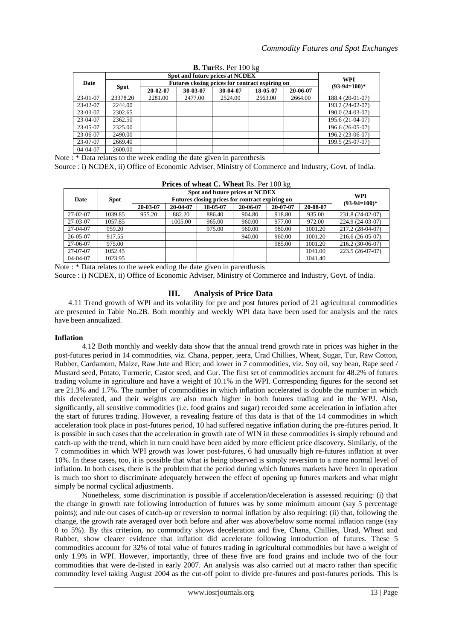| <b>B. TurRs.</b> Per $100 \text{ kg}$ |             |                                                 |                       |          |          |          |                  |  |  |
|---------------------------------------|-------------|-------------------------------------------------|-----------------------|----------|----------|----------|------------------|--|--|
|                                       |             |                                                 |                       |          |          |          |                  |  |  |
| Date                                  |             | Futures closing prices for contract expiring on | WPI<br>$(93-94=100)*$ |          |          |          |                  |  |  |
|                                       | <b>Spot</b> | 20-02-07                                        | 30-03-07              | 30-04-07 | 18-05-07 | 20-06-07 |                  |  |  |
| 23-01-07                              | 23378.20    | 2281.00                                         | 2477.00               | 2524.00  | 2563.00  | 2664.00  | 188.4 (20-01-07) |  |  |
| 23-02-07                              | 2244.00     |                                                 |                       |          |          |          | 193.2 (24-02-07) |  |  |
| 23-03-07                              | 2302.65     |                                                 |                       |          |          |          | 190.0 (24-03-07) |  |  |
| 23-04-07                              | 2362.50     |                                                 |                       |          |          |          | 195.6 (21-04-07) |  |  |
| 23-05-07                              | 2325.00     |                                                 |                       |          |          |          | 196.6 (26-05-07) |  |  |
| 23-06-07                              | 2490.00     |                                                 |                       |          |          |          | 196.2 (23-06-07) |  |  |
| 23-07-07                              | 2669.40     |                                                 |                       |          |          |          | 199.5 (25-07-07) |  |  |
| 04-04-07                              | 2600.00     |                                                 |                       |          |          |          |                  |  |  |

Note : \* Data relates to the week ending the date given in parenthesis

Source : i) NCDEX, ii) Office of Economic Adviser, Ministry of Commerce and Industry, Govt. of India.

| <b>Prices of wheat C. Wheat Rs. Per 100 kg</b> |         |          |                       |          |          |          |          |                  |  |
|------------------------------------------------|---------|----------|-----------------------|----------|----------|----------|----------|------------------|--|
|                                                |         |          | WPI<br>$(93-94=100)*$ |          |          |          |          |                  |  |
| Date                                           | Spot    |          |                       |          |          |          |          |                  |  |
|                                                |         | 20-03-07 | 20-04-07              | 18-05-07 | 20-06-07 | 20-07-07 | 20-08-07 |                  |  |
| 27-02-07                                       | 1039.85 | 955.20   | 882.20                | 886.40   | 904.80   | 918.80   | 935.00   | 231.8 (24-02-07) |  |
| 27-03-07                                       | 1057.85 |          | 1005.00               | 965.00   | 960.00   | 977.00   | 972.00   | 224.9 (24-03-07) |  |
| 27-04-07                                       | 959.20  |          |                       | 975.00   | 960.00   | 980.00   | 1001.20  | 217.2 (28-04-07) |  |
| $26-0.5-0.7$                                   | 917.55  |          |                       |          | 940.00   | 960.00   | 1001.20  | 216.6 (26-05-07) |  |
| 27-06-07                                       | 975.00  |          |                       |          |          | 985.00   | 1001.20  | 216.2 (30-06-07) |  |
| 27-07-07                                       | 1052.45 |          |                       |          |          |          | 1041.00  | 223.5 (26-07-07) |  |
| $04-04-07$                                     | 1023.95 |          |                       |          |          |          | 1041.40  |                  |  |

**Prices of wheat C. Wheat** Rs. Per 100 kg

Note : \* Data relates to the week ending the date given in parenthesis

Source : i) NCDEX, ii) Office of Economic Adviser, Ministry of Commerce and Industry, Govt. of India.

## **III. Analysis of Price Data**

4.11 Trend growth of WPI and its volatility for pre and post futures period of 21 agricultural commodities are presented in Table No.2B. Both monthly and weekly WPI data have been used for analysis and the rates have been annualized.

#### **Inflation**

4.12 Both monthly and weekly data show that the annual trend growth rate in prices was higher in the post-futures period in 14 commodities, viz. Chana, pepper, jeera, Urad Chillies, Wheat, Sugar, Tur, Raw Cotton, Rubber, Cardamom, Maize, Raw Jute and Rice; and lower in 7 commodities, viz. Soy oil, soy bean, Rape seed / Mustard seed, Potato, Turmeric, Castor seed, and Gur. The first set of commodities account for 48.2% of futures trading volume in agriculture and have a weight of 10.1% in the WPI. Corresponding figures for the second set are 21.3% and 1.7%. The number of commodities in which inflation accelerated is double the number in which this decelerated, and their weights are also much higher in both futures trading and in the WPJ. Also, significantly, all sensitive commodities (i.e. food grains and sugar) recorded some acceleration in inflation after the start of futures trading. However, a revealing feature of this data is that of the 14 commodities in which acceleration took place in post-futures period, 10 had suffered negative inflation during the pre-futures period. It is possible in such cases that the acceleration in growth rate of WIN in these commodities is simply rebound and catch-up with the trend, which in turn could have been aided by more efficient price discovery. Similarly, of the 7 commodities in which WPI growth was lower post-futures, 6 had unusually high re-futures inflation at over 10%. In these cases, too, it is possible that what is being observed is simply reversion to a more normal level of inflation. In both cases, there is the problem that the period during which futures markets have been in operation is much too short to discriminate adequately between the effect of opening up futures markets and what might simply be normal cyclical adjustments.

Nonetheless, some discrimination is possible if acceleration/deceleration is assessed requiring: (i) that the change in growth rate following introduction of futures was by some minimum amount (say 5 percentage points); and rule out cases of catch-up or reversion to normal inflation by also requiring: (ii) that, following the change, the growth rate averaged over both before and after was above/below some normal inflation range (say 0 to 5%). By this criterion, no commodity shows deceleration and five, Chana, Chillies, Urad, Wheat and Rubber, show clearer evidence that inflation did accelerate following introduction of futures. These 5 commodities account for 32% of total value of futures trading in agricultural commodities but have a weight of only 1.9% in WPI. However, importantly, three of these five are food grains and include two of the four commodities that were de-listed in early 2007. An analysis was also carried out at macro rather than specific commodity level taking August 2004 as the cut-off point to divide pre-futures and post-futures periods. This is